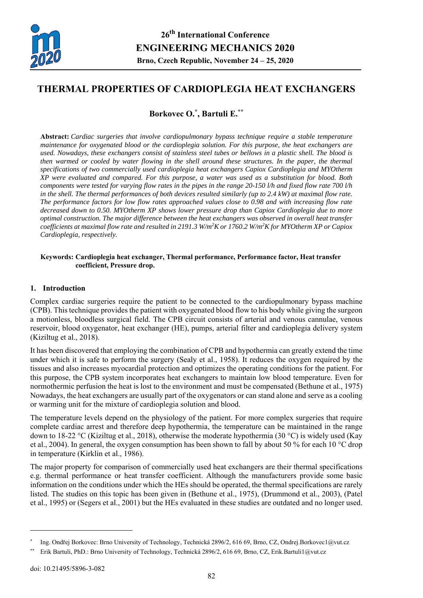

# **THERMAL PROPERTIES OF CARDIOPLEGIA HEAT EXCHANGERS**

**Borkovec O.\*, Bartuli E.\*\***

**Abstract:** *Cardiac surgeries that involve cardiopulmonary bypass technique require a stable temperature maintenance for oxygenated blood or the cardioplegia solution. For this purpose, the heat exchangers are used. Nowadays, these exchangers consist of stainless steel tubes or bellows in a plastic shell. The blood is then warmed or cooled by water flowing in the shell around these structures. In the paper, the thermal specifications of two commercially used cardioplegia heat exchangers Capiox Cardioplegia and MYOtherm XP were evaluated and compared. For this purpose, a water was used as a substitution for blood. Both components were tested for varying flow rates in the pipes in the range 20-150 l/h and fixed flow rate 700 l/h in the shell. The thermal performances of both devices resulted similarly (up to 2.4 kW) at maximal flow rate. The performance factors for low flow rates approached values close to 0.98 and with increasing flow rate decreased down to 0.50. MYOtherm XP shows lower pressure drop than Capiox Cardioplegia due to more optimal construction. The major difference between the heat exchangers was observed in overall heat transfer coefficients at maximal flow rate and resulted in 2191.3 W/m2 K or 1760.2 W/m2 K for MYOtherm XP or Capiox Cardioplegia, respectively.* 

#### **Keywords: Cardioplegia heat exchanger, Thermal performance, Performance factor, Heat transfer coefficient, Pressure drop.**

## **1. Introduction**

Complex cardiac surgeries require the patient to be connected to the cardiopulmonary bypass machine (CPB). This technique provides the patient with oxygenated blood flow to his body while giving the surgeon a motionless, bloodless surgical field. The CPB circuit consists of arterial and venous cannulae, venous reservoir, blood oxygenator, heat exchanger (HE), pumps, arterial filter and cardioplegia delivery system (Kiziltug et al., 2018).

It has been discovered that employing the combination of CPB and hypothermia can greatly extend the time under which it is safe to perform the surgery (Sealy et al., 1958). It reduces the oxygen required by the tissues and also increases myocardial protection and optimizes the operating conditions for the patient. For this purpose, the CPB system incorporates heat exchangers to maintain low blood temperature. Even for normothermic perfusion the heat is lost to the environment and must be compensated (Bethune et al., 1975) Nowadays, the heat exchangers are usually part of the oxygenators or can stand alone and serve as a cooling or warming unit for the mixture of cardioplegia solution and blood.

The temperature levels depend on the physiology of the patient. For more complex surgeries that require complete cardiac arrest and therefore deep hypothermia, the temperature can be maintained in the range down to 18-22 °C (Kiziltug et al., 2018), otherwise the moderate hypothermia (30 °C) is widely used (Kay et al., 2004). In general, the oxygen consumption has been shown to fall by about 50 % for each 10 °C drop in temperature (Kirklin et al., 1986).

The major property for comparison of commercially used heat exchangers are their thermal specifications e.g. thermal performance or heat transfer coefficient. Although the manufacturers provide some basic information on the conditions under which the HEs should be operated, the thermal specifications are rarely listed. The studies on this topic has been given in (Bethune et al., 1975), (Drummond et al., 2003), (Patel et al., 1995) or (Segers et al., 2001) but the HEs evaluated in these studies are outdated and no longer used.

 $\overline{a}$ 

Ing. Ondřej Borkovec: Brno University of Technology, Technická 2896/2, 616 69, Brno, CZ, Ondrej.Borkovec1@vut.cz

Erik Bartuli, PhD.: Brno University of Technology, Technická 2896/2, 616 69, Brno, CZ, Erik.Bartuli1@vut.cz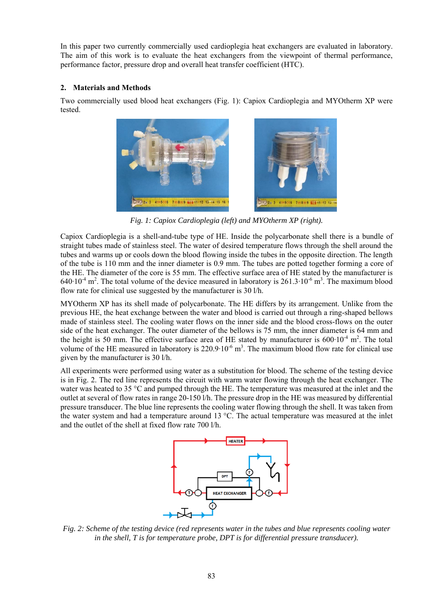In this paper two currently commercially used cardioplegia heat exchangers are evaluated in laboratory. The aim of this work is to evaluate the heat exchangers from the viewpoint of thermal performance, performance factor, pressure drop and overall heat transfer coefficient (HTC).

# **2. Materials and Methods**

Two commercially used blood heat exchangers (Fig. 1): Capiox Cardioplegia and MYOtherm XP were tested.



*Fig. 1: Capiox Cardioplegia (left) and MYOtherm XP (right).* 

Capiox Cardioplegia is a shell-and-tube type of HE. Inside the polycarbonate shell there is a bundle of straight tubes made of stainless steel. The water of desired temperature flows through the shell around the tubes and warms up or cools down the blood flowing inside the tubes in the opposite direction. The length of the tube is 110 mm and the inner diameter is 0.9 mm. The tubes are potted together forming a core of the HE. The diameter of the core is 55 mm. The effective surface area of HE stated by the manufacturer is  $640·10<sup>-4</sup>$  m<sup>2</sup>. The total volume of the device measured in laboratory is 261.3⋅10<sup>-6</sup> m<sup>3</sup>. The maximum blood flow rate for clinical use suggested by the manufacturer is 30 l/h.

MYOtherm XP has its shell made of polycarbonate. The HE differs by its arrangement. Unlike from the previous HE, the heat exchange between the water and blood is carried out through a ring-shaped bellows made of stainless steel. The cooling water flows on the inner side and the blood cross-flows on the outer side of the heat exchanger. The outer diameter of the bellows is 75 mm, the inner diameter is 64 mm and the height is 50 mm. The effective surface area of HE stated by manufacturer is 600⋅10<sup>-4</sup> m<sup>2</sup>. The total volume of the HE measured in laboratory is 220.9⋅10<sup>-6</sup> m<sup>3</sup>. The maximum blood flow rate for clinical use given by the manufacturer is 30 l/h.

All experiments were performed using water as a substitution for blood. The scheme of the testing device is in Fig. 2. The red line represents the circuit with warm water flowing through the heat exchanger. The water was heated to 35 °C and pumped through the HE. The temperature was measured at the inlet and the outlet at several of flow rates in range 20-150 l/h. The pressure drop in the HE was measured by differential pressure transducer. The blue line represents the cooling water flowing through the shell. It was taken from the water system and had a temperature around 13 °C. The actual temperature was measured at the inlet and the outlet of the shell at fixed flow rate 700 l/h.



*Fig. 2: Scheme of the testing device (red represents water in the tubes and blue represents cooling water in the shell, T is for temperature probe, DPT is for differential pressure transducer).*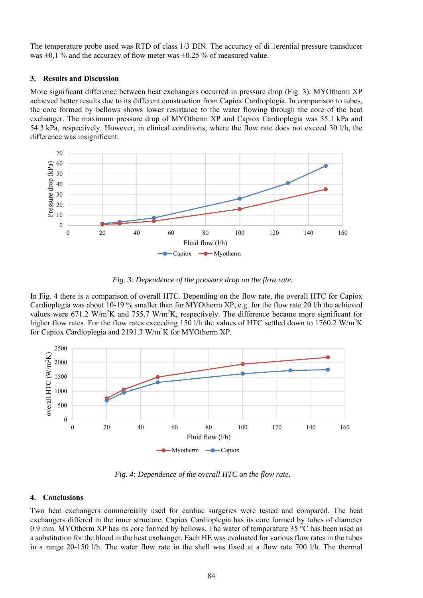The temperature probe used was RTD of class  $1/3$  DIN. The accuracy of di $\Box$ erential pressure transducer was  $\pm 0.1$  % and the accuracy of flow meter was  $\pm 0.25$  % of measured value.

## **3. Results and Discussion**

More significant difference between heat exchangers occurred in pressure drop (Fig. 3). MYOtherm XP achieved better results due to its different construction from Capiox Cardioplegia. In comparison to tubes, the core formed by bellows shows lower resistance to the water flowing through the core of the heat exchanger. The maximum pressure drop of MYOtherm XP and Capiox Cardioplegia was 35.1 kPa and 54.3 kPa, respectively. However, in clinical conditions, where the flow rate does not exceed 30 l/h, the difference was insignificant.



*Fig. 3: Dependence of the pressure drop on the flow rate.* 

In Fig. 4 there is a comparison of overall HTC. Depending on the flow rate, the overall HTC for Capiox Cardioplegia was about 10-19 % smaller than for MYOtherm XP, e.g. for the flow rate 20 l/h the achieved values were 671.2 W/m<sup>2</sup>K and 755.7 W/m<sup>2</sup>K, respectively. The difference became more significant for higher flow rates. For the flow rates exceeding 150 l/h the values of HTC settled down to 1760.2 W/m<sup>2</sup>K for Capiox Cardioplegia and 2191.3 W/m<sup>2</sup>K for MYOtherm XP.



*Fig. 4: Dependence of the overall HTC on the flow rate.* 

## **4. Conclusions**

Two heat exchangers commercially used for cardiac surgeries were tested and compared. The heat exchangers differed in the inner structure. Capiox Cardioplegia has its core formed by tubes of diameter 0.9 mm. MYOtherm XP has its core formed by bellows. The water of temperature 35 °C has been used as a substitution for the blood in the heat exchanger. Each HE was evaluated for various flow rates in the tubes in a range 20-150 l/h. The water flow rate in the shell was fixed at a flow rate 700 l/h. The thermal